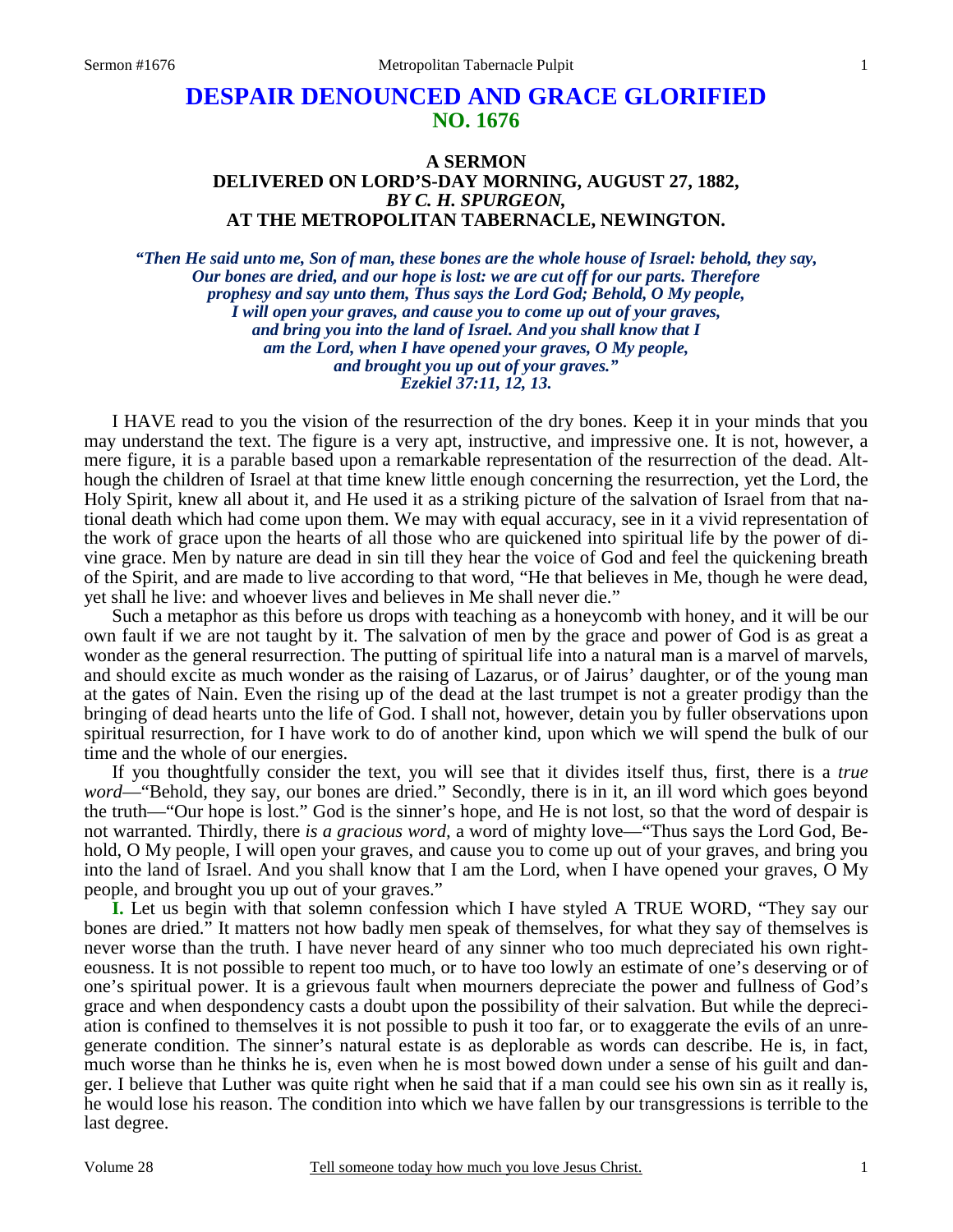## **DESPAIR DENOUNCED AND GRACE GLORIFIED NO. 1676**

## **A SERMON DELIVERED ON LORD'S-DAY MORNING, AUGUST 27, 1882,**  *BY C. H. SPURGEON,*  **AT THE METROPOLITAN TABERNACLE, NEWINGTON.**

*"Then He said unto me, Son of man, these bones are the whole house of Israel: behold, they say, Our bones are dried, and our hope is lost: we are cut off for our parts. Therefore prophesy and say unto them, Thus says the Lord God; Behold, O My people, I will open your graves, and cause you to come up out of your graves, and bring you into the land of Israel. And you shall know that I am the Lord, when I have opened your graves, O My people, and brought you up out of your graves." Ezekiel 37:11, 12, 13.* 

I HAVE read to you the vision of the resurrection of the dry bones. Keep it in your minds that you may understand the text. The figure is a very apt, instructive, and impressive one. It is not, however, a mere figure, it is a parable based upon a remarkable representation of the resurrection of the dead. Although the children of Israel at that time knew little enough concerning the resurrection, yet the Lord, the Holy Spirit, knew all about it, and He used it as a striking picture of the salvation of Israel from that national death which had come upon them. We may with equal accuracy, see in it a vivid representation of the work of grace upon the hearts of all those who are quickened into spiritual life by the power of divine grace. Men by nature are dead in sin till they hear the voice of God and feel the quickening breath of the Spirit, and are made to live according to that word, "He that believes in Me, though he were dead, yet shall he live: and whoever lives and believes in Me shall never die."

 Such a metaphor as this before us drops with teaching as a honeycomb with honey, and it will be our own fault if we are not taught by it. The salvation of men by the grace and power of God is as great a wonder as the general resurrection. The putting of spiritual life into a natural man is a marvel of marvels, and should excite as much wonder as the raising of Lazarus, or of Jairus' daughter, or of the young man at the gates of Nain. Even the rising up of the dead at the last trumpet is not a greater prodigy than the bringing of dead hearts unto the life of God. I shall not, however, detain you by fuller observations upon spiritual resurrection, for I have work to do of another kind, upon which we will spend the bulk of our time and the whole of our energies.

 If you thoughtfully consider the text, you will see that it divides itself thus, first, there is a *true word*—"Behold, they say, our bones are dried." Secondly, there is in it, an ill word which goes beyond the truth—"Our hope is lost." God is the sinner's hope, and He is not lost, so that the word of despair is not warranted. Thirdly, there *is a gracious word,* a word of mighty love—"Thus says the Lord God, Behold, O My people, I will open your graves, and cause you to come up out of your graves, and bring you into the land of Israel. And you shall know that I am the Lord, when I have opened your graves, O My people, and brought you up out of your graves."

**I.** Let us begin with that solemn confession which I have styled A TRUE WORD, "They say our bones are dried." It matters not how badly men speak of themselves, for what they say of themselves is never worse than the truth. I have never heard of any sinner who too much depreciated his own righteousness. It is not possible to repent too much, or to have too lowly an estimate of one's deserving or of one's spiritual power. It is a grievous fault when mourners depreciate the power and fullness of God's grace and when despondency casts a doubt upon the possibility of their salvation. But while the depreciation is confined to themselves it is not possible to push it too far, or to exaggerate the evils of an unregenerate condition. The sinner's natural estate is as deplorable as words can describe. He is, in fact, much worse than he thinks he is, even when he is most bowed down under a sense of his guilt and danger. I believe that Luther was quite right when he said that if a man could see his own sin as it really is, he would lose his reason. The condition into which we have fallen by our transgressions is terrible to the last degree.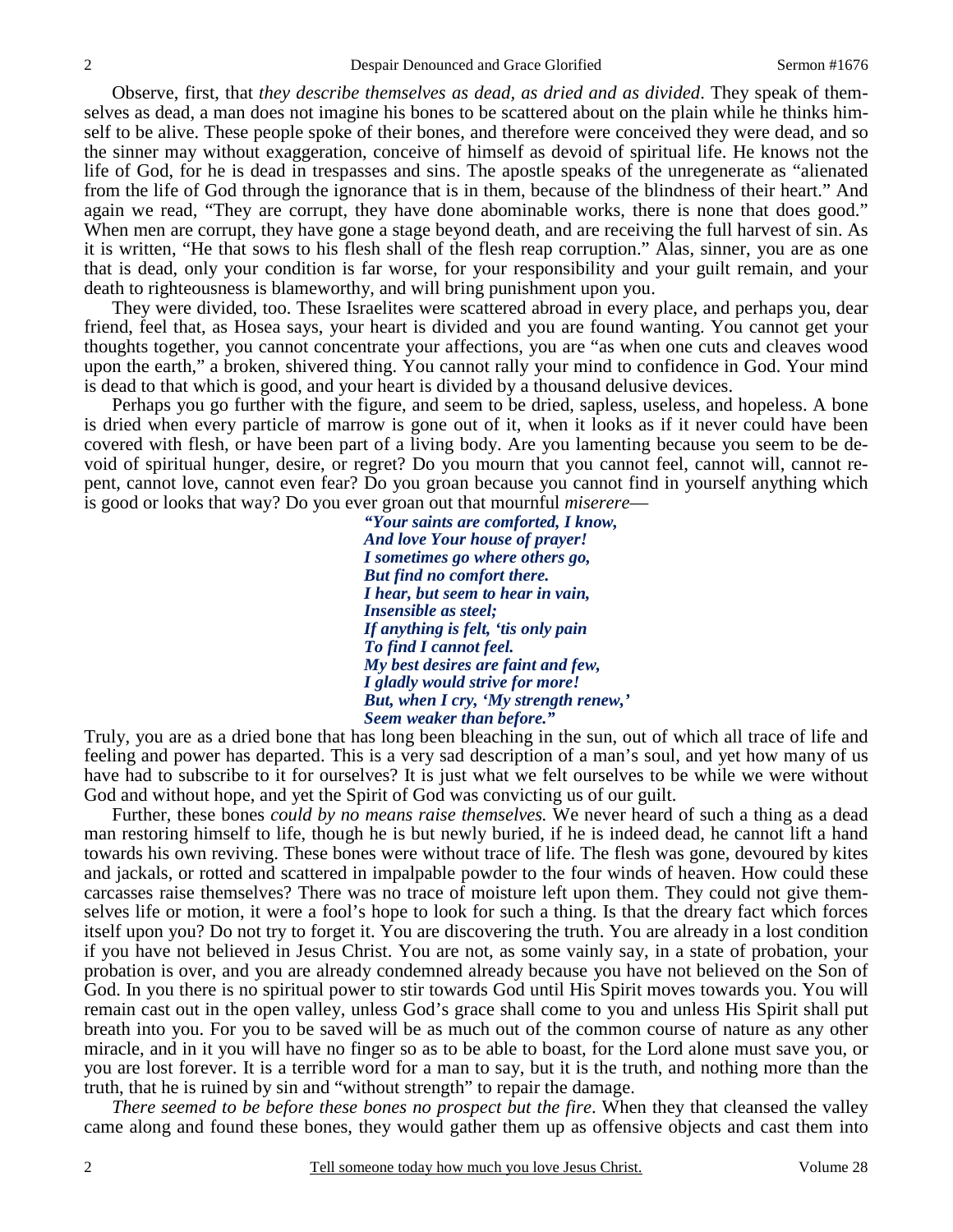Observe, first, that *they describe themselves as dead, as dried and as divided*. They speak of themselves as dead, a man does not imagine his bones to be scattered about on the plain while he thinks himself to be alive. These people spoke of their bones, and therefore were conceived they were dead, and so the sinner may without exaggeration, conceive of himself as devoid of spiritual life. He knows not the life of God, for he is dead in trespasses and sins. The apostle speaks of the unregenerate as "alienated from the life of God through the ignorance that is in them, because of the blindness of their heart." And again we read, "They are corrupt, they have done abominable works, there is none that does good." When men are corrupt, they have gone a stage beyond death, and are receiving the full harvest of sin. As it is written, "He that sows to his flesh shall of the flesh reap corruption." Alas, sinner, you are as one that is dead, only your condition is far worse, for your responsibility and your guilt remain, and your death to righteousness is blameworthy, and will bring punishment upon you.

 They were divided, too. These Israelites were scattered abroad in every place, and perhaps you, dear friend, feel that, as Hosea says, your heart is divided and you are found wanting. You cannot get your thoughts together, you cannot concentrate your affections, you are "as when one cuts and cleaves wood upon the earth," a broken, shivered thing. You cannot rally your mind to confidence in God. Your mind is dead to that which is good, and your heart is divided by a thousand delusive devices.

 Perhaps you go further with the figure, and seem to be dried, sapless, useless, and hopeless. A bone is dried when every particle of marrow is gone out of it, when it looks as if it never could have been covered with flesh, or have been part of a living body. Are you lamenting because you seem to be devoid of spiritual hunger, desire, or regret? Do you mourn that you cannot feel, cannot will, cannot repent, cannot love, cannot even fear? Do you groan because you cannot find in yourself anything which is good or looks that way? Do you ever groan out that mournful *miserere*—

> *"Your saints are comforted, I know, And love Your house of prayer! I sometimes go where others go, But find no comfort there. I hear, but seem to hear in vain, Insensible as steel; If anything is felt, 'tis only pain To find I cannot feel. My best desires are faint and few, I gladly would strive for more! But, when I cry, 'My strength renew,' Seem weaker than before."*

Truly, you are as a dried bone that has long been bleaching in the sun, out of which all trace of life and feeling and power has departed. This is a very sad description of a man's soul, and yet how many of us have had to subscribe to it for ourselves? It is just what we felt ourselves to be while we were without God and without hope, and yet the Spirit of God was convicting us of our guilt.

 Further, these bones *could by no means raise themselves.* We never heard of such a thing as a dead man restoring himself to life, though he is but newly buried, if he is indeed dead, he cannot lift a hand towards his own reviving. These bones were without trace of life. The flesh was gone, devoured by kites and jackals, or rotted and scattered in impalpable powder to the four winds of heaven. How could these carcasses raise themselves? There was no trace of moisture left upon them. They could not give themselves life or motion, it were a fool's hope to look for such a thing. Is that the dreary fact which forces itself upon you? Do not try to forget it. You are discovering the truth. You are already in a lost condition if you have not believed in Jesus Christ. You are not, as some vainly say, in a state of probation, your probation is over, and you are already condemned already because you have not believed on the Son of God. In you there is no spiritual power to stir towards God until His Spirit moves towards you. You will remain cast out in the open valley, unless God's grace shall come to you and unless His Spirit shall put breath into you. For you to be saved will be as much out of the common course of nature as any other miracle, and in it you will have no finger so as to be able to boast, for the Lord alone must save you, or you are lost forever. It is a terrible word for a man to say, but it is the truth, and nothing more than the truth, that he is ruined by sin and "without strength" to repair the damage.

*There seemed to be before these bones no prospect but the fire*. When they that cleansed the valley came along and found these bones, they would gather them up as offensive objects and cast them into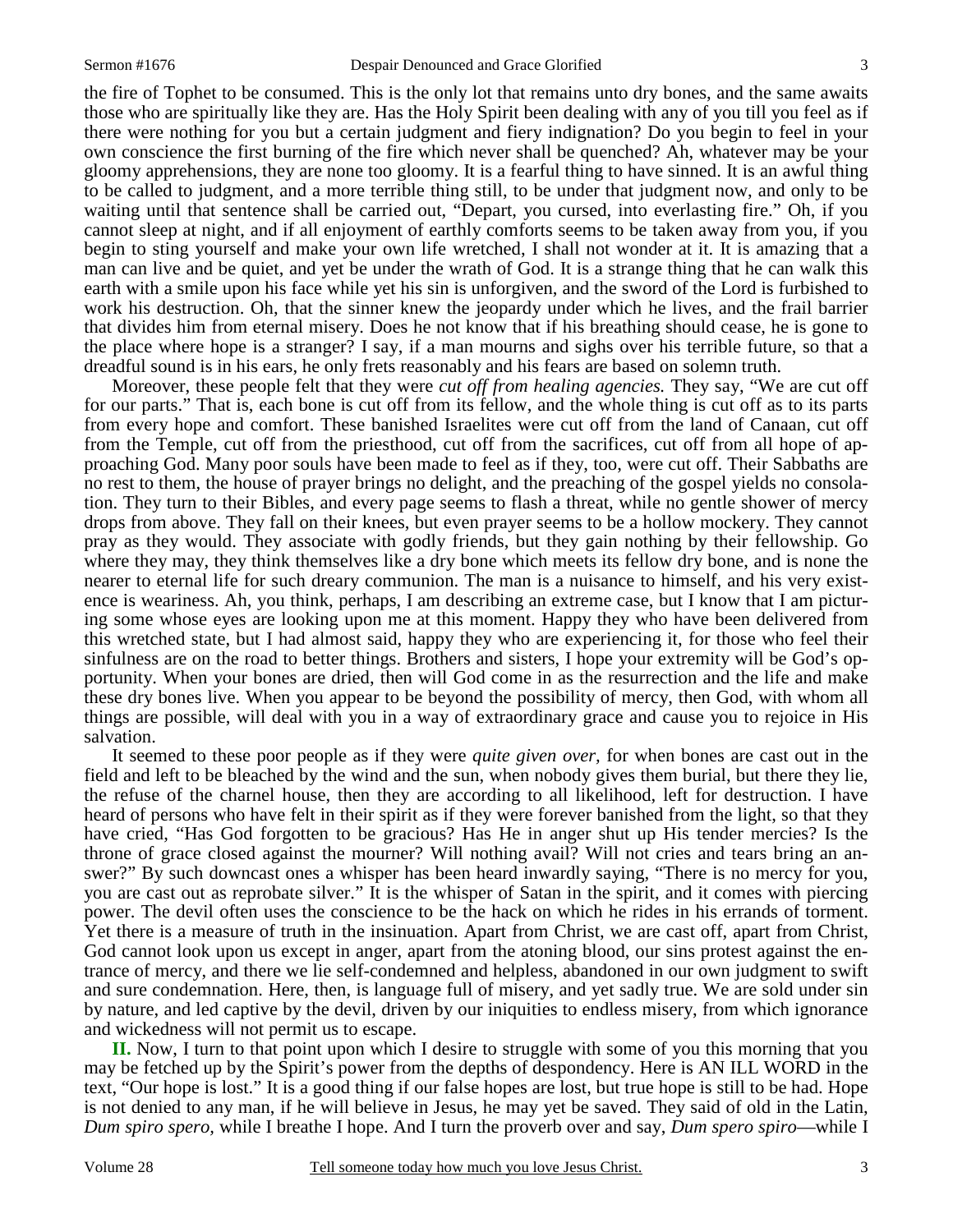the fire of Tophet to be consumed. This is the only lot that remains unto dry bones, and the same awaits those who are spiritually like they are. Has the Holy Spirit been dealing with any of you till you feel as if there were nothing for you but a certain judgment and fiery indignation? Do you begin to feel in your own conscience the first burning of the fire which never shall be quenched? Ah, whatever may be your gloomy apprehensions, they are none too gloomy. It is a fearful thing to have sinned. It is an awful thing to be called to judgment, and a more terrible thing still, to be under that judgment now, and only to be waiting until that sentence shall be carried out, "Depart, you cursed, into everlasting fire." Oh, if you cannot sleep at night, and if all enjoyment of earthly comforts seems to be taken away from you, if you begin to sting yourself and make your own life wretched, I shall not wonder at it. It is amazing that a man can live and be quiet, and yet be under the wrath of God. It is a strange thing that he can walk this earth with a smile upon his face while yet his sin is unforgiven, and the sword of the Lord is furbished to work his destruction. Oh, that the sinner knew the jeopardy under which he lives, and the frail barrier that divides him from eternal misery. Does he not know that if his breathing should cease, he is gone to the place where hope is a stranger? I say, if a man mourns and sighs over his terrible future, so that a dreadful sound is in his ears, he only frets reasonably and his fears are based on solemn truth.

 Moreover, these people felt that they were *cut off from healing agencies.* They say, "We are cut off for our parts." That is, each bone is cut off from its fellow, and the whole thing is cut off as to its parts from every hope and comfort. These banished Israelites were cut off from the land of Canaan, cut off from the Temple, cut off from the priesthood, cut off from the sacrifices, cut off from all hope of approaching God. Many poor souls have been made to feel as if they, too, were cut off. Their Sabbaths are no rest to them, the house of prayer brings no delight, and the preaching of the gospel yields no consolation. They turn to their Bibles, and every page seems to flash a threat, while no gentle shower of mercy drops from above. They fall on their knees, but even prayer seems to be a hollow mockery. They cannot pray as they would. They associate with godly friends, but they gain nothing by their fellowship. Go where they may, they think themselves like a dry bone which meets its fellow dry bone, and is none the nearer to eternal life for such dreary communion. The man is a nuisance to himself, and his very existence is weariness. Ah, you think, perhaps, I am describing an extreme case, but I know that I am picturing some whose eyes are looking upon me at this moment. Happy they who have been delivered from this wretched state, but I had almost said, happy they who are experiencing it, for those who feel their sinfulness are on the road to better things. Brothers and sisters, I hope your extremity will be God's opportunity. When your bones are dried, then will God come in as the resurrection and the life and make these dry bones live. When you appear to be beyond the possibility of mercy, then God, with whom all things are possible, will deal with you in a way of extraordinary grace and cause you to rejoice in His salvation.

 It seemed to these poor people as if they were *quite given over,* for when bones are cast out in the field and left to be bleached by the wind and the sun, when nobody gives them burial, but there they lie, the refuse of the charnel house, then they are according to all likelihood, left for destruction. I have heard of persons who have felt in their spirit as if they were forever banished from the light, so that they have cried, "Has God forgotten to be gracious? Has He in anger shut up His tender mercies? Is the throne of grace closed against the mourner? Will nothing avail? Will not cries and tears bring an answer?" By such downcast ones a whisper has been heard inwardly saying, "There is no mercy for you, you are cast out as reprobate silver." It is the whisper of Satan in the spirit, and it comes with piercing power. The devil often uses the conscience to be the hack on which he rides in his errands of torment. Yet there is a measure of truth in the insinuation. Apart from Christ, we are cast off, apart from Christ, God cannot look upon us except in anger, apart from the atoning blood, our sins protest against the entrance of mercy, and there we lie self-condemned and helpless, abandoned in our own judgment to swift and sure condemnation. Here, then, is language full of misery, and yet sadly true. We are sold under sin by nature, and led captive by the devil, driven by our iniquities to endless misery, from which ignorance and wickedness will not permit us to escape.

**II.** Now, I turn to that point upon which I desire to struggle with some of you this morning that you may be fetched up by the Spirit's power from the depths of despondency. Here is AN ILL WORD in the text, "Our hope is lost." It is a good thing if our false hopes are lost, but true hope is still to be had. Hope is not denied to any man, if he will believe in Jesus, he may yet be saved. They said of old in the Latin, *Dum spiro spero,* while I breathe I hope. And I turn the proverb over and say, *Dum spero spiro*—while I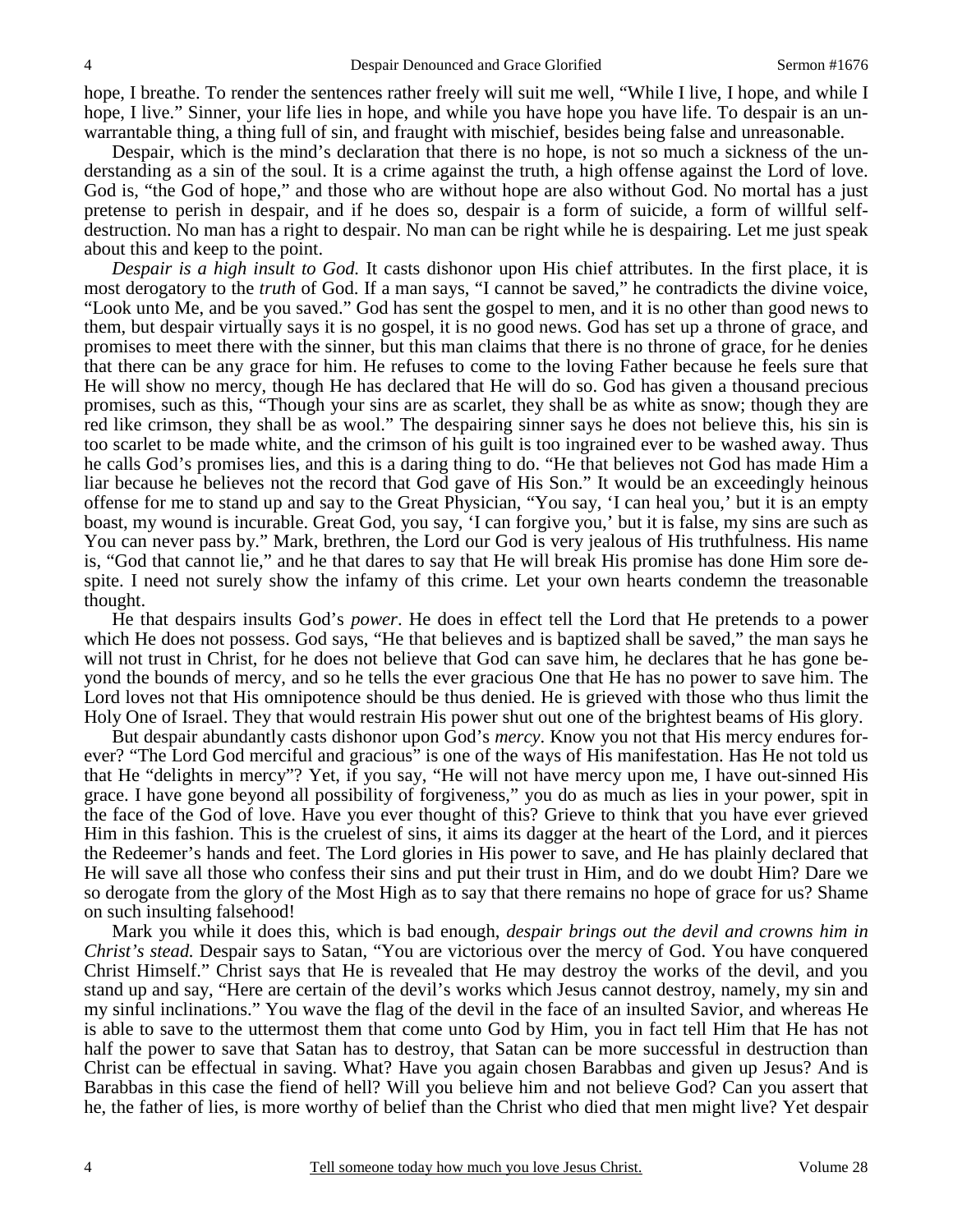hope, I breathe. To render the sentences rather freely will suit me well, "While I live, I hope, and while I hope, I live." Sinner, your life lies in hope, and while you have hope you have life. To despair is an unwarrantable thing, a thing full of sin, and fraught with mischief, besides being false and unreasonable.

 Despair, which is the mind's declaration that there is no hope, is not so much a sickness of the understanding as a sin of the soul. It is a crime against the truth, a high offense against the Lord of love. God is, "the God of hope," and those who are without hope are also without God. No mortal has a just pretense to perish in despair, and if he does so, despair is a form of suicide, a form of willful selfdestruction. No man has a right to despair. No man can be right while he is despairing. Let me just speak about this and keep to the point.

*Despair is a high insult to God.* It casts dishonor upon His chief attributes. In the first place, it is most derogatory to the *truth* of God. If a man says, "I cannot be saved," he contradicts the divine voice, "Look unto Me, and be you saved." God has sent the gospel to men, and it is no other than good news to them, but despair virtually says it is no gospel, it is no good news. God has set up a throne of grace, and promises to meet there with the sinner, but this man claims that there is no throne of grace, for he denies that there can be any grace for him. He refuses to come to the loving Father because he feels sure that He will show no mercy, though He has declared that He will do so. God has given a thousand precious promises, such as this, "Though your sins are as scarlet, they shall be as white as snow; though they are red like crimson, they shall be as wool." The despairing sinner says he does not believe this, his sin is too scarlet to be made white, and the crimson of his guilt is too ingrained ever to be washed away. Thus he calls God's promises lies, and this is a daring thing to do. "He that believes not God has made Him a liar because he believes not the record that God gave of His Son." It would be an exceedingly heinous offense for me to stand up and say to the Great Physician, "You say, 'I can heal you,' but it is an empty boast, my wound is incurable. Great God, you say, 'I can forgive you,' but it is false, my sins are such as You can never pass by." Mark, brethren, the Lord our God is very jealous of His truthfulness. His name is, "God that cannot lie," and he that dares to say that He will break His promise has done Him sore despite. I need not surely show the infamy of this crime. Let your own hearts condemn the treasonable thought.

 He that despairs insults God's *power*. He does in effect tell the Lord that He pretends to a power which He does not possess. God says, "He that believes and is baptized shall be saved," the man says he will not trust in Christ, for he does not believe that God can save him, he declares that he has gone beyond the bounds of mercy, and so he tells the ever gracious One that He has no power to save him. The Lord loves not that His omnipotence should be thus denied. He is grieved with those who thus limit the Holy One of Israel. They that would restrain His power shut out one of the brightest beams of His glory.

 But despair abundantly casts dishonor upon God's *mercy*. Know you not that His mercy endures forever? "The Lord God merciful and gracious" is one of the ways of His manifestation. Has He not told us that He "delights in mercy"? Yet, if you say, "He will not have mercy upon me, I have out-sinned His grace. I have gone beyond all possibility of forgiveness," you do as much as lies in your power, spit in the face of the God of love. Have you ever thought of this? Grieve to think that you have ever grieved Him in this fashion. This is the cruelest of sins, it aims its dagger at the heart of the Lord, and it pierces the Redeemer's hands and feet. The Lord glories in His power to save, and He has plainly declared that He will save all those who confess their sins and put their trust in Him, and do we doubt Him? Dare we so derogate from the glory of the Most High as to say that there remains no hope of grace for us? Shame on such insulting falsehood!

 Mark you while it does this, which is bad enough, *despair brings out the devil and crowns him in Christ's stead.* Despair says to Satan, "You are victorious over the mercy of God. You have conquered Christ Himself." Christ says that He is revealed that He may destroy the works of the devil, and you stand up and say, "Here are certain of the devil's works which Jesus cannot destroy, namely, my sin and my sinful inclinations." You wave the flag of the devil in the face of an insulted Savior, and whereas He is able to save to the uttermost them that come unto God by Him, you in fact tell Him that He has not half the power to save that Satan has to destroy, that Satan can be more successful in destruction than Christ can be effectual in saving. What? Have you again chosen Barabbas and given up Jesus? And is Barabbas in this case the fiend of hell? Will you believe him and not believe God? Can you assert that he, the father of lies, is more worthy of belief than the Christ who died that men might live? Yet despair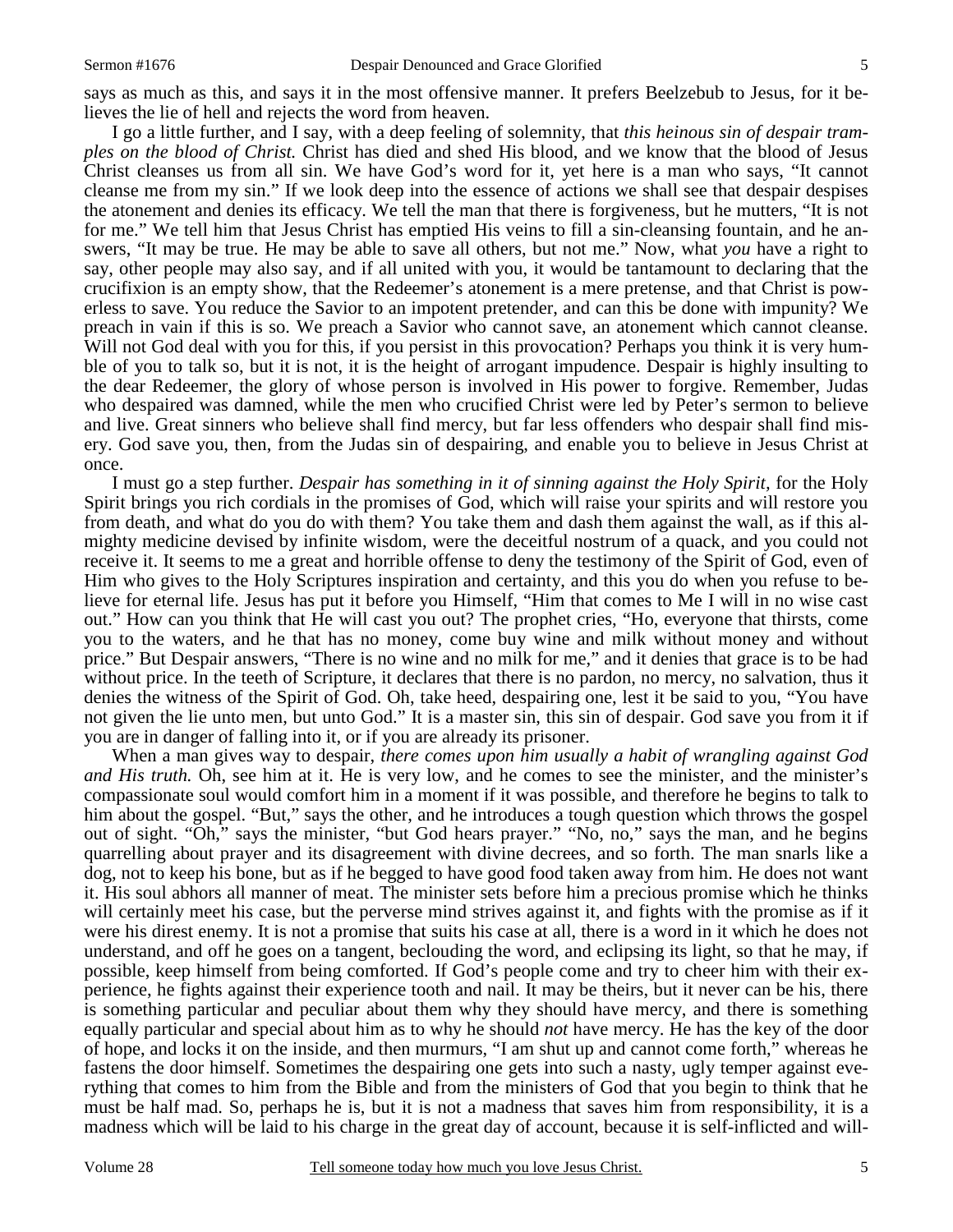I go a little further, and I say, with a deep feeling of solemnity, that *this heinous sin of despair tramples on the blood of Christ.* Christ has died and shed His blood, and we know that the blood of Jesus Christ cleanses us from all sin. We have God's word for it, yet here is a man who says, "It cannot cleanse me from my sin." If we look deep into the essence of actions we shall see that despair despises the atonement and denies its efficacy. We tell the man that there is forgiveness, but he mutters, "It is not for me." We tell him that Jesus Christ has emptied His veins to fill a sin-cleansing fountain, and he answers, "It may be true. He may be able to save all others, but not me." Now, what *you* have a right to say, other people may also say, and if all united with you, it would be tantamount to declaring that the crucifixion is an empty show, that the Redeemer's atonement is a mere pretense, and that Christ is powerless to save. You reduce the Savior to an impotent pretender, and can this be done with impunity? We preach in vain if this is so. We preach a Savior who cannot save, an atonement which cannot cleanse. Will not God deal with you for this, if you persist in this provocation? Perhaps you think it is very humble of you to talk so, but it is not, it is the height of arrogant impudence. Despair is highly insulting to the dear Redeemer, the glory of whose person is involved in His power to forgive. Remember, Judas who despaired was damned, while the men who crucified Christ were led by Peter's sermon to believe and live. Great sinners who believe shall find mercy, but far less offenders who despair shall find misery. God save you, then, from the Judas sin of despairing, and enable you to believe in Jesus Christ at once.

 I must go a step further. *Despair has something in it of sinning against the Holy Spirit,* for the Holy Spirit brings you rich cordials in the promises of God, which will raise your spirits and will restore you from death, and what do you do with them? You take them and dash them against the wall, as if this almighty medicine devised by infinite wisdom, were the deceitful nostrum of a quack, and you could not receive it. It seems to me a great and horrible offense to deny the testimony of the Spirit of God, even of Him who gives to the Holy Scriptures inspiration and certainty, and this you do when you refuse to believe for eternal life. Jesus has put it before you Himself, "Him that comes to Me I will in no wise cast out." How can you think that He will cast you out? The prophet cries, "Ho, everyone that thirsts, come you to the waters, and he that has no money, come buy wine and milk without money and without price." But Despair answers, "There is no wine and no milk for me," and it denies that grace is to be had without price. In the teeth of Scripture, it declares that there is no pardon, no mercy, no salvation, thus it denies the witness of the Spirit of God. Oh, take heed, despairing one, lest it be said to you, "You have not given the lie unto men, but unto God." It is a master sin, this sin of despair. God save you from it if you are in danger of falling into it, or if you are already its prisoner.

 When a man gives way to despair, *there comes upon him usually a habit of wrangling against God and His truth.* Oh, see him at it. He is very low, and he comes to see the minister, and the minister's compassionate soul would comfort him in a moment if it was possible, and therefore he begins to talk to him about the gospel. "But," says the other, and he introduces a tough question which throws the gospel out of sight. "Oh," says the minister, "but God hears prayer." "No, no," says the man, and he begins quarrelling about prayer and its disagreement with divine decrees, and so forth. The man snarls like a dog, not to keep his bone, but as if he begged to have good food taken away from him. He does not want it. His soul abhors all manner of meat. The minister sets before him a precious promise which he thinks will certainly meet his case, but the perverse mind strives against it, and fights with the promise as if it were his direst enemy. It is not a promise that suits his case at all, there is a word in it which he does not understand, and off he goes on a tangent, beclouding the word, and eclipsing its light, so that he may, if possible, keep himself from being comforted. If God's people come and try to cheer him with their experience, he fights against their experience tooth and nail. It may be theirs, but it never can be his, there is something particular and peculiar about them why they should have mercy, and there is something equally particular and special about him as to why he should *not* have mercy. He has the key of the door of hope, and locks it on the inside, and then murmurs, "I am shut up and cannot come forth," whereas he fastens the door himself. Sometimes the despairing one gets into such a nasty, ugly temper against everything that comes to him from the Bible and from the ministers of God that you begin to think that he must be half mad. So, perhaps he is, but it is not a madness that saves him from responsibility, it is a madness which will be laid to his charge in the great day of account, because it is self-inflicted and will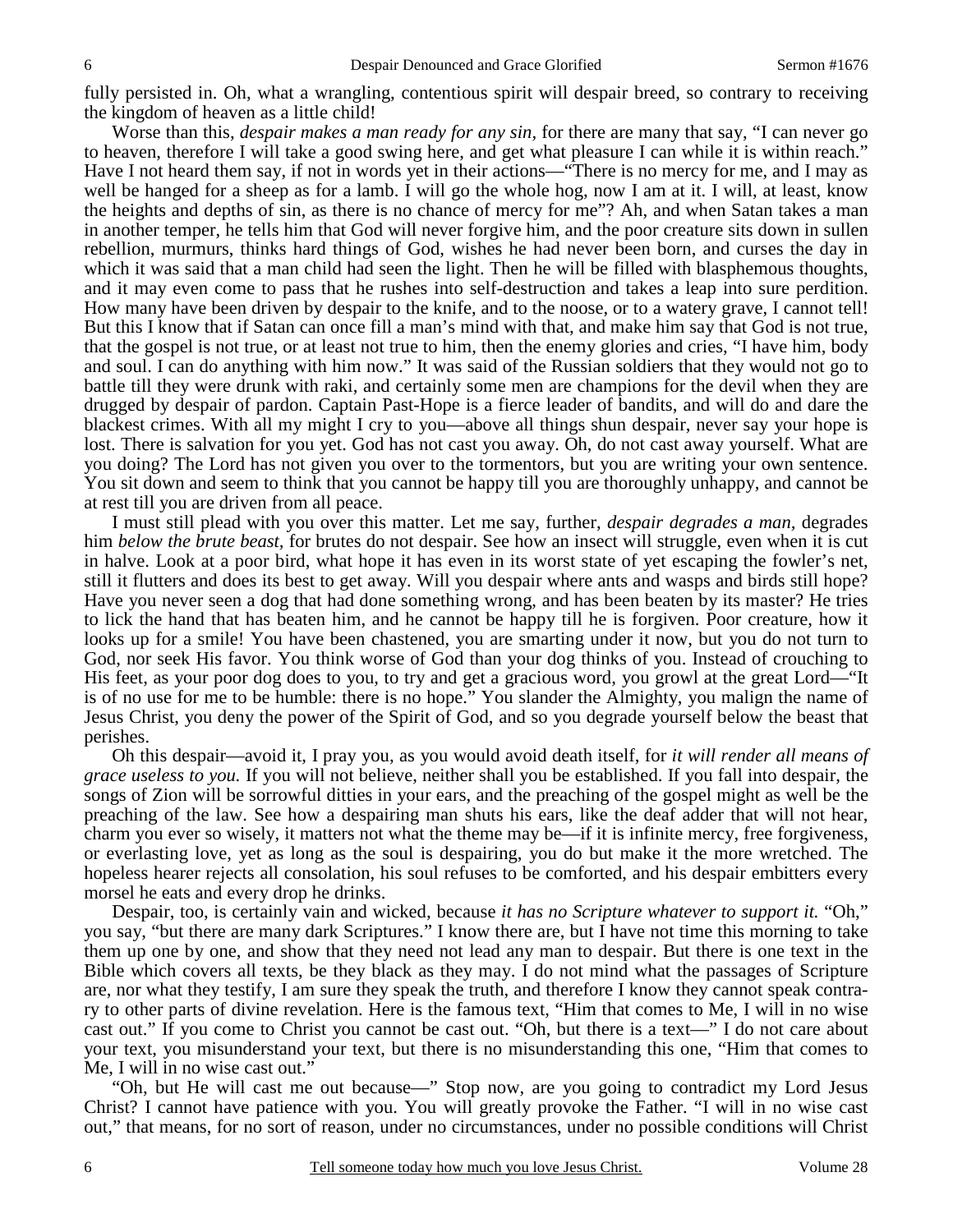fully persisted in. Oh, what a wrangling, contentious spirit will despair breed, so contrary to receiving the kingdom of heaven as a little child!

 Worse than this, *despair makes a man ready for any sin,* for there are many that say, "I can never go to heaven, therefore I will take a good swing here, and get what pleasure I can while it is within reach." Have I not heard them say, if not in words yet in their actions—"There is no mercy for me, and I may as well be hanged for a sheep as for a lamb. I will go the whole hog, now I am at it. I will, at least, know the heights and depths of sin, as there is no chance of mercy for me"? Ah, and when Satan takes a man in another temper, he tells him that God will never forgive him, and the poor creature sits down in sullen rebellion, murmurs, thinks hard things of God, wishes he had never been born, and curses the day in which it was said that a man child had seen the light. Then he will be filled with blasphemous thoughts, and it may even come to pass that he rushes into self-destruction and takes a leap into sure perdition. How many have been driven by despair to the knife, and to the noose, or to a watery grave, I cannot tell! But this I know that if Satan can once fill a man's mind with that, and make him say that God is not true, that the gospel is not true, or at least not true to him, then the enemy glories and cries, "I have him, body and soul. I can do anything with him now." It was said of the Russian soldiers that they would not go to battle till they were drunk with raki, and certainly some men are champions for the devil when they are drugged by despair of pardon. Captain Past-Hope is a fierce leader of bandits, and will do and dare the blackest crimes. With all my might I cry to you—above all things shun despair, never say your hope is lost. There is salvation for you yet. God has not cast you away. Oh, do not cast away yourself. What are you doing? The Lord has not given you over to the tormentors, but you are writing your own sentence. You sit down and seem to think that you cannot be happy till you are thoroughly unhappy, and cannot be at rest till you are driven from all peace.

 I must still plead with you over this matter. Let me say, further, *despair degrades a man,* degrades him *below the brute beast,* for brutes do not despair. See how an insect will struggle, even when it is cut in halve. Look at a poor bird, what hope it has even in its worst state of yet escaping the fowler's net, still it flutters and does its best to get away. Will you despair where ants and wasps and birds still hope? Have you never seen a dog that had done something wrong, and has been beaten by its master? He tries to lick the hand that has beaten him, and he cannot be happy till he is forgiven. Poor creature, how it looks up for a smile! You have been chastened, you are smarting under it now, but you do not turn to God, nor seek His favor. You think worse of God than your dog thinks of you. Instead of crouching to His feet, as your poor dog does to you, to try and get a gracious word, you growl at the great Lord—"It is of no use for me to be humble: there is no hope." You slander the Almighty, you malign the name of Jesus Christ, you deny the power of the Spirit of God, and so you degrade yourself below the beast that perishes.

 Oh this despair—avoid it, I pray you, as you would avoid death itself, for *it will render all means of grace useless to you.* If you will not believe, neither shall you be established. If you fall into despair, the songs of Zion will be sorrowful ditties in your ears, and the preaching of the gospel might as well be the preaching of the law. See how a despairing man shuts his ears, like the deaf adder that will not hear, charm you ever so wisely, it matters not what the theme may be—if it is infinite mercy, free forgiveness, or everlasting love, yet as long as the soul is despairing, you do but make it the more wretched. The hopeless hearer rejects all consolation, his soul refuses to be comforted, and his despair embitters every morsel he eats and every drop he drinks.

 Despair, too, is certainly vain and wicked, because *it has no Scripture whatever to support it.* "Oh," you say, "but there are many dark Scriptures." I know there are, but I have not time this morning to take them up one by one, and show that they need not lead any man to despair. But there is one text in the Bible which covers all texts, be they black as they may. I do not mind what the passages of Scripture are, nor what they testify, I am sure they speak the truth, and therefore I know they cannot speak contrary to other parts of divine revelation. Here is the famous text, "Him that comes to Me, I will in no wise cast out." If you come to Christ you cannot be cast out. "Oh, but there is a text—" I do not care about your text, you misunderstand your text, but there is no misunderstanding this one, "Him that comes to Me, I will in no wise cast out."

 "Oh, but He will cast me out because—" Stop now, are you going to contradict my Lord Jesus Christ? I cannot have patience with you. You will greatly provoke the Father. "I will in no wise cast out," that means, for no sort of reason, under no circumstances, under no possible conditions will Christ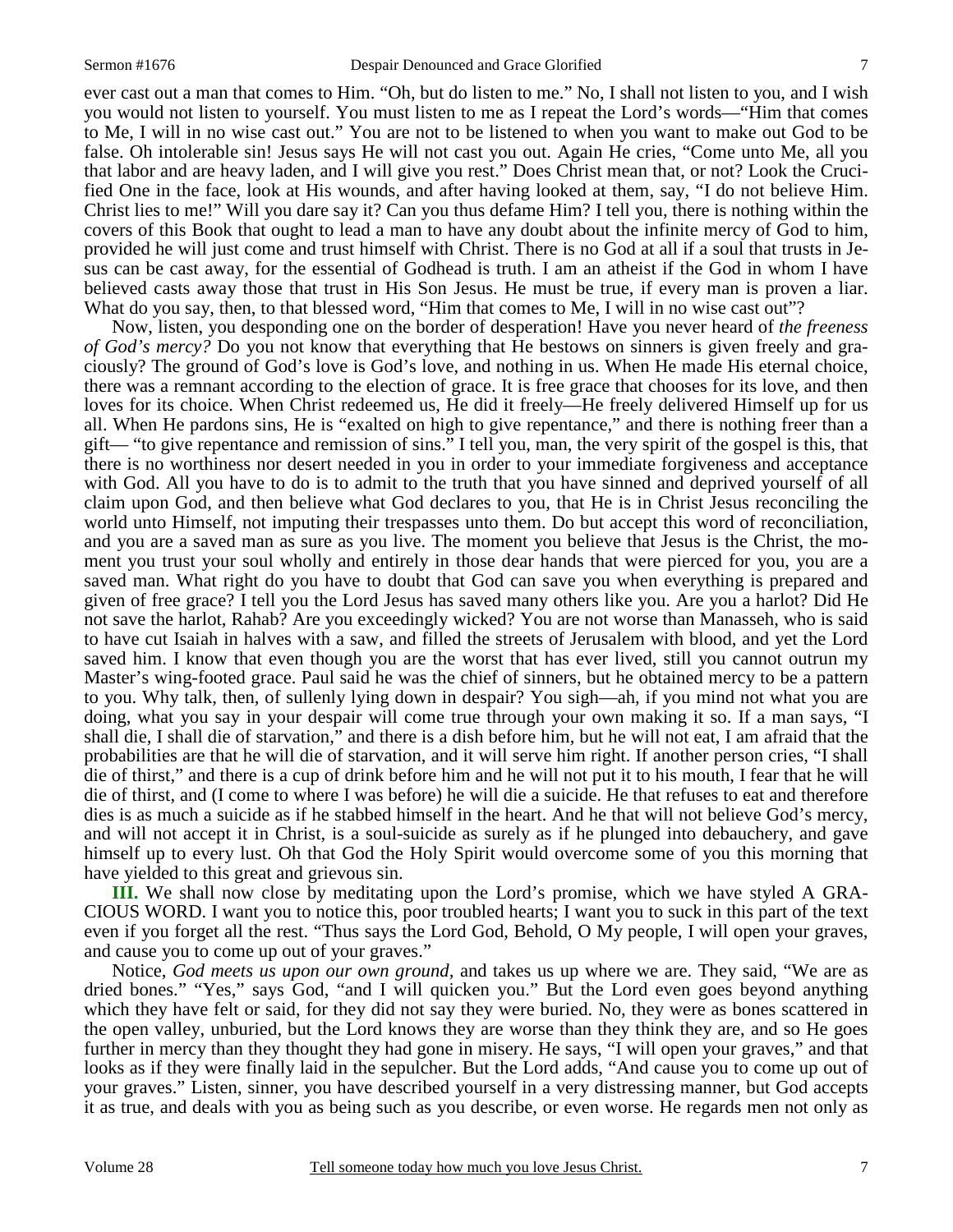ever cast out a man that comes to Him. "Oh, but do listen to me." No, I shall not listen to you, and I wish you would not listen to yourself. You must listen to me as I repeat the Lord's words—"Him that comes to Me, I will in no wise cast out." You are not to be listened to when you want to make out God to be false. Oh intolerable sin! Jesus says He will not cast you out. Again He cries, "Come unto Me, all you that labor and are heavy laden, and I will give you rest." Does Christ mean that, or not? Look the Crucified One in the face, look at His wounds, and after having looked at them, say, "I do not believe Him. Christ lies to me!" Will you dare say it? Can you thus defame Him? I tell you, there is nothing within the covers of this Book that ought to lead a man to have any doubt about the infinite mercy of God to him, provided he will just come and trust himself with Christ. There is no God at all if a soul that trusts in Jesus can be cast away, for the essential of Godhead is truth. I am an atheist if the God in whom I have believed casts away those that trust in His Son Jesus. He must be true, if every man is proven a liar. What do you say, then, to that blessed word, "Him that comes to Me, I will in no wise cast out"?

 Now, listen, you desponding one on the border of desperation! Have you never heard of *the freeness of God's mercy?* Do you not know that everything that He bestows on sinners is given freely and graciously? The ground of God's love is God's love, and nothing in us. When He made His eternal choice, there was a remnant according to the election of grace. It is free grace that chooses for its love, and then loves for its choice. When Christ redeemed us, He did it freely—He freely delivered Himself up for us all. When He pardons sins, He is "exalted on high to give repentance," and there is nothing freer than a gift— "to give repentance and remission of sins." I tell you, man, the very spirit of the gospel is this, that there is no worthiness nor desert needed in you in order to your immediate forgiveness and acceptance with God. All you have to do is to admit to the truth that you have sinned and deprived yourself of all claim upon God, and then believe what God declares to you, that He is in Christ Jesus reconciling the world unto Himself, not imputing their trespasses unto them. Do but accept this word of reconciliation, and you are a saved man as sure as you live. The moment you believe that Jesus is the Christ, the moment you trust your soul wholly and entirely in those dear hands that were pierced for you, you are a saved man. What right do you have to doubt that God can save you when everything is prepared and given of free grace? I tell you the Lord Jesus has saved many others like you. Are you a harlot? Did He not save the harlot, Rahab? Are you exceedingly wicked? You are not worse than Manasseh, who is said to have cut Isaiah in halves with a saw, and filled the streets of Jerusalem with blood, and yet the Lord saved him. I know that even though you are the worst that has ever lived, still you cannot outrun my Master's wing-footed grace. Paul said he was the chief of sinners, but he obtained mercy to be a pattern to you. Why talk, then, of sullenly lying down in despair? You sigh—ah, if you mind not what you are doing, what you say in your despair will come true through your own making it so. If a man says, "I shall die, I shall die of starvation," and there is a dish before him, but he will not eat, I am afraid that the probabilities are that he will die of starvation, and it will serve him right. If another person cries, "I shall die of thirst," and there is a cup of drink before him and he will not put it to his mouth, I fear that he will die of thirst, and (I come to where I was before) he will die a suicide. He that refuses to eat and therefore dies is as much a suicide as if he stabbed himself in the heart. And he that will not believe God's mercy, and will not accept it in Christ, is a soul-suicide as surely as if he plunged into debauchery, and gave himself up to every lust. Oh that God the Holy Spirit would overcome some of you this morning that have yielded to this great and grievous sin.

**III.** We shall now close by meditating upon the Lord's promise, which we have styled A GRA-CIOUS WORD. I want you to notice this, poor troubled hearts; I want you to suck in this part of the text even if you forget all the rest. "Thus says the Lord God, Behold, O My people, I will open your graves, and cause you to come up out of your graves."

 Notice, *God meets us upon our own ground,* and takes us up where we are. They said, "We are as dried bones." "Yes," says God, "and I will quicken you." But the Lord even goes beyond anything which they have felt or said, for they did not say they were buried. No, they were as bones scattered in the open valley, unburied, but the Lord knows they are worse than they think they are, and so He goes further in mercy than they thought they had gone in misery. He says, "I will open your graves," and that looks as if they were finally laid in the sepulcher. But the Lord adds, "And cause you to come up out of your graves." Listen, sinner, you have described yourself in a very distressing manner, but God accepts it as true, and deals with you as being such as you describe, or even worse. He regards men not only as